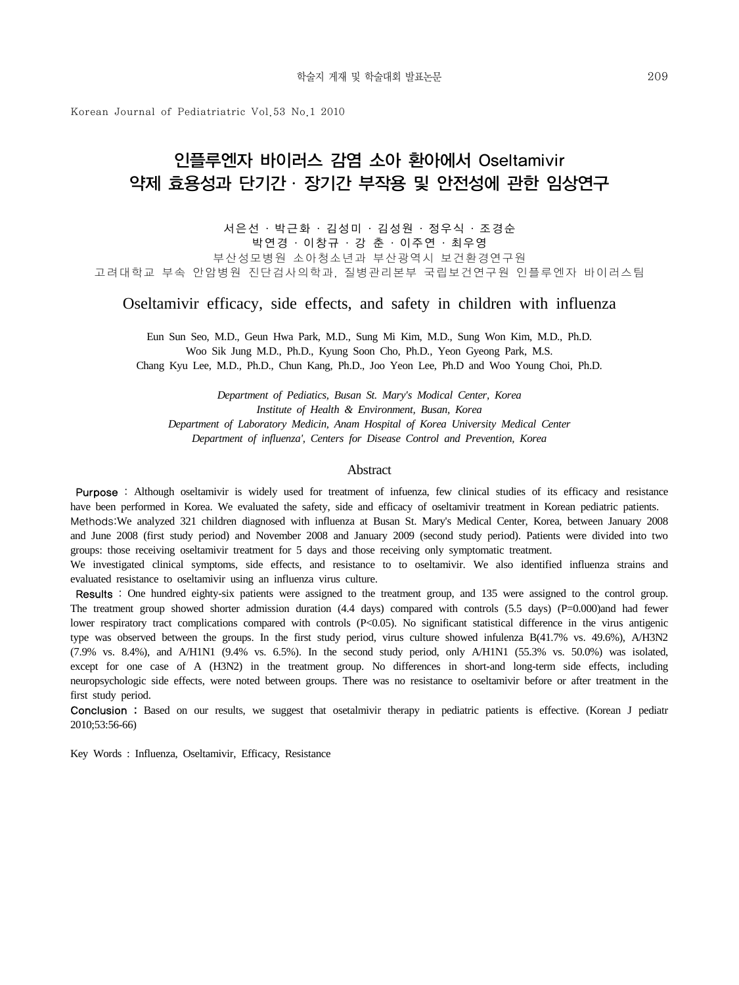Korean Journal of Pediatriatric Vol.53 No.1 2010

## 인플루엔자 바이러스 감염 소아 환아에서 Oseltamivir 약제 효용성과 단기간 ․ 장기간 부작용 및 안전성에 관한 임상연구

서은선 ․ 박근화 ․ 김성미 ․ 김성원 ․ 정우식 ․ 조경순

박연경 ․ 이창규 ․ 강 춘 ․ 이주연 ․ 최우영 부산성모병원 소아청소년과 부산광역시 보건환경연구원 고려대학교 부속 안암병원 진단검사의학과, 질병관리본부 국립보건연구원 인플루엔자 바이러스팀

Oseltamivir efficacy, side effects, and safety in children with influenza

Eun Sun Seo, M.D., Geun Hwa Park, M.D., Sung Mi Kim, M.D., Sung Won Kim, M.D., Ph.D. Woo Sik Jung M.D., Ph.D., Kyung Soon Cho, Ph.D., Yeon Gyeong Park, M.S. Chang Kyu Lee, M.D., Ph.D., Chun Kang, Ph.D., Joo Yeon Lee, Ph.D and Woo Young Choi, Ph.D.

*Department of Pediatics, Busan St. Mary's Modical Center, Korea Institute of Health & Environment, Busan, Korea Department of Laboratory Medicin, Anam Hospital of Korea University Medical Center Department of influenza', Centers for Disease Control and Prevention, Korea*

#### **Abstract**

Purpose : Although oseltamivir is widely used for treatment of infuenza, few clinical studies of its efficacy and resistance have been performed in Korea. We evaluated the safety, side and efficacy of oseltamivir treatment in Korean pediatric patients.

Methods:We analyzed 321 children diagnosed with influenza at Busan St. Mary's Medical Center, Korea, between January 2008 and June 2008 (first study period) and November 2008 and January 2009 (second study period). Patients were divided into two groups: those receiving oseltamivir treatment for 5 days and those receiving only symptomatic treatment.

We investigated clinical symptoms, side effects, and resistance to to oseltamivir. We also identified influenza strains and evaluated resistance to oseltamivir using an influenza virus culture.

Results : One hundred eighty-six patients were assigned to the treatment group, and 135 were assigned to the control group. The treatment group showed shorter admission duration (4.4 days) compared with controls (5.5 days) (P=0.000)and had fewer lower respiratory tract complications compared with controls (P<0.05). No significant statistical difference in the virus antigenic type was observed between the groups. In the first study period, virus culture showed infulenza B(41.7% vs. 49.6%), A/H3N2 (7.9% vs. 8.4%), and A/H1N1 (9.4% vs. 6.5%). In the second study period, only A/H1N1 (55.3% vs. 50.0%) was isolated, except for one case of A (H3N2) in the treatment group. No differences in short-and long-term side effects, including neuropsychologic side effects, were noted between groups. There was no resistance to oseltamivir before or after treatment in the first study period.

Conclusion : Based on our results, we suggest that osetalmivir therapy in pediatric patients is effective. (Korean J pediatr 2010;53:56-66)

Key Words : Influenza, Oseltamivir, Efficacy, Resistance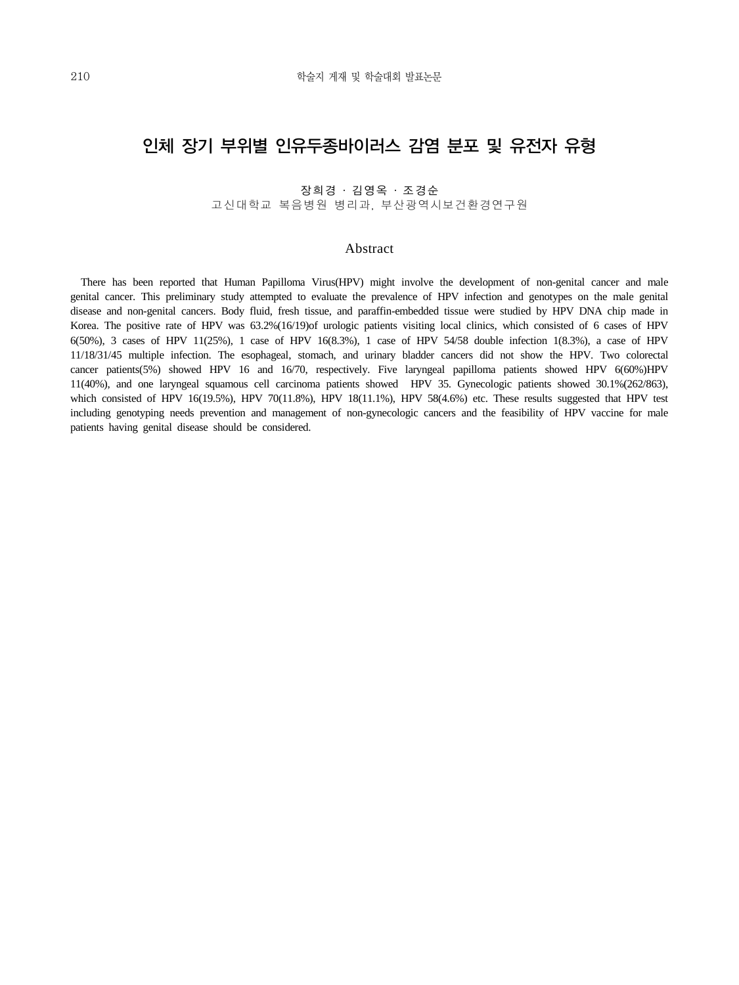## 인체 장기 부위별 인유두종바이러스 감염 분포 및 유전자 유형

장희경 ․ 김영옥 ․ 조경순 고신대학교 복음병원 병리과, 부산광역시보건환경연구원

### Abstract

 There has been reported that Human Papilloma Virus(HPV) might involve the development of non-genital cancer and male genital cancer. This preliminary study attempted to evaluate the prevalence of HPV infection and genotypes on the male genital disease and non-genital cancers. Body fluid, fresh tissue, and paraffin-embedded tissue were studied by HPV DNA chip made in Korea. The positive rate of HPV was 63.2%(16/19)of urologic patients visiting local clinics, which consisted of 6 cases of HPV 6(50%), 3 cases of HPV 11(25%), 1 case of HPV 16(8.3%), 1 case of HPV 54/58 double infection 1(8.3%), a case of HPV 11/18/31/45 multiple infection. The esophageal, stomach, and urinary bladder cancers did not show the HPV. Two colorectal cancer patients(5%) showed HPV 16 and 16/70, respectively. Five laryngeal papilloma patients showed HPV 6(60%)HPV 11(40%), and one laryngeal squamous cell carcinoma patients showed HPV 35. Gynecologic patients showed 30.1%(262/863), which consisted of HPV 16(19.5%), HPV 70(11.8%), HPV 18(11.1%), HPV 58(4.6%) etc. These results suggested that HPV test including genotyping needs prevention and management of non-gynecologic cancers and the feasibility of HPV vaccine for male patients having genital disease should be considered.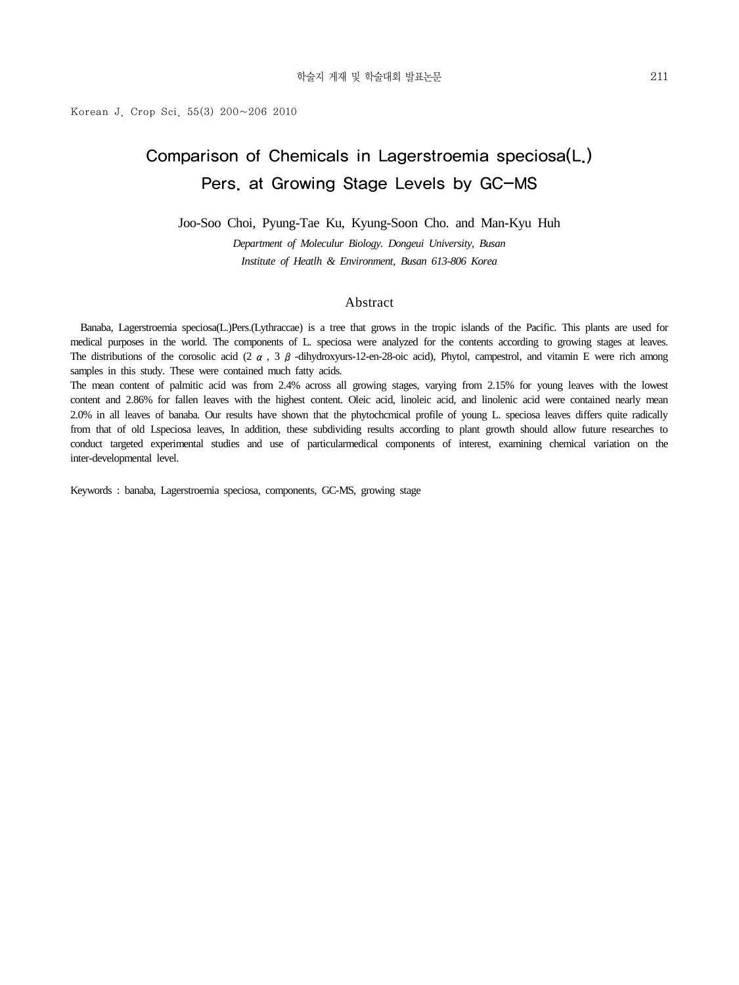## Comparison of Chemicals in Lagerstroemia speciosa(L.) Pers. at Growing Stage Levels by GC-MS

Joo-Soo Choi, Pyung-Tae Ku, Kyung-Soon Cho. and Man-Kyu Huh

*Department of Moleculur Biology. Dongeui University, Busan Institute of Heatlh & Environment, Busan 613-806 Korea*

### Abstract

 Banaba, Lagerstroemia speciosa(L.)Pers.(Lythraccae) is a tree that grows in the tropic islands of the Pacific. This plants are used for medical purposes in the world. The components of L. speciosa were analyzed for the contents according to growing stages at leaves. The distributions of the corosolic acid (2  $\alpha$ , 3  $\beta$  -dihydroxyurs-12-en-28-oic acid), Phytol, campestrol, and vitamin E were rich among samples in this study. These were contained much fatty acids.

The mean content of palmitic acid was from 2.4% across all growing stages, varying from 2.15% for young leaves with the lowest content and 2.86% for fallen leaves with the highest content. Oleic acid, linoleic acid, and linolenic acid were contained nearly mean 2.0% in all leaves of banaba. Our results have shown that the phytochcmical profile of young L. speciosa leaves differs quite radically from that of old Lspeciosa leaves, In addition, these subdividing results according to plant growth should allow future researches to conduct targeted experimental studies and use of particularmedical components of interest, examining chemical variation on the inter-developmental level.

Keywords : banaba, Lagerstroemia speciosa, components, GC-MS, growing stage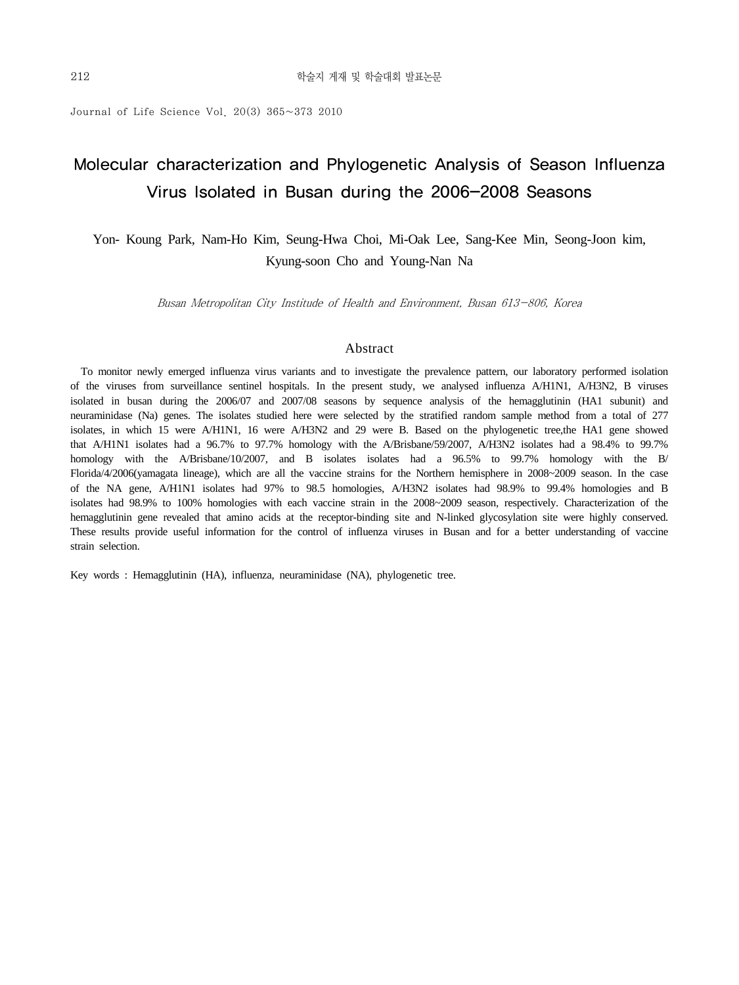Journal of Life Science Vol. 20(3) 365~373 2010

## Molecular characterization and Phylogenetic Analysis of Season Influenza Virus Isolated in Busan during the 2006-2008 Seasons

Yon- Koung Park, Nam-Ho Kim, Seung-Hwa Choi, Mi-Oak Lee, Sang-Kee Min, Seong-Joon kim, Kyung-soon Cho and Young-Nan Na

Busan Metropolitan City Institude of Health and Environment, Busan 613-806, Korea

### Abstract

 To monitor newly emerged influenza virus variants and to investigate the prevalence pattern, our laboratory performed isolation of the viruses from surveillance sentinel hospitals. In the present study, we analysed influenza A/H1N1, A/H3N2, B viruses isolated in busan during the 2006/07 and 2007/08 seasons by sequence analysis of the hemagglutinin (HA1 subunit) and neuraminidase (Na) genes. The isolates studied here were selected by the stratified random sample method from a total of 277 isolates, in which 15 were A/H1N1, 16 were A/H3N2 and 29 were B. Based on the phylogenetic tree,the HA1 gene showed that A/H1N1 isolates had a 96.7% to 97.7% homology with the A/Brisbane/59/2007, A/H3N2 isolates had a 98.4% to 99.7% homology with the A/Brisbane/10/2007, and B isolates isolates had a 96.5% to 99.7% homology with the B/ Florida/4/2006(yamagata lineage), which are all the vaccine strains for the Northern hemisphere in 2008~2009 season. In the case of the NA gene, A/H1N1 isolates had 97% to 98.5 homologies, A/H3N2 isolates had 98.9% to 99.4% homologies and B isolates had 98.9% to 100% homologies with each vaccine strain in the 2008~2009 season, respectively. Characterization of the hemagglutinin gene revealed that amino acids at the receptor-binding site and N-linked glycosylation site were highly conserved. These results provide useful information for the control of influenza viruses in Busan and for a better understanding of vaccine strain selection.

Key words : Hemagglutinin (HA), influenza, neuraminidase (NA), phylogenetic tree.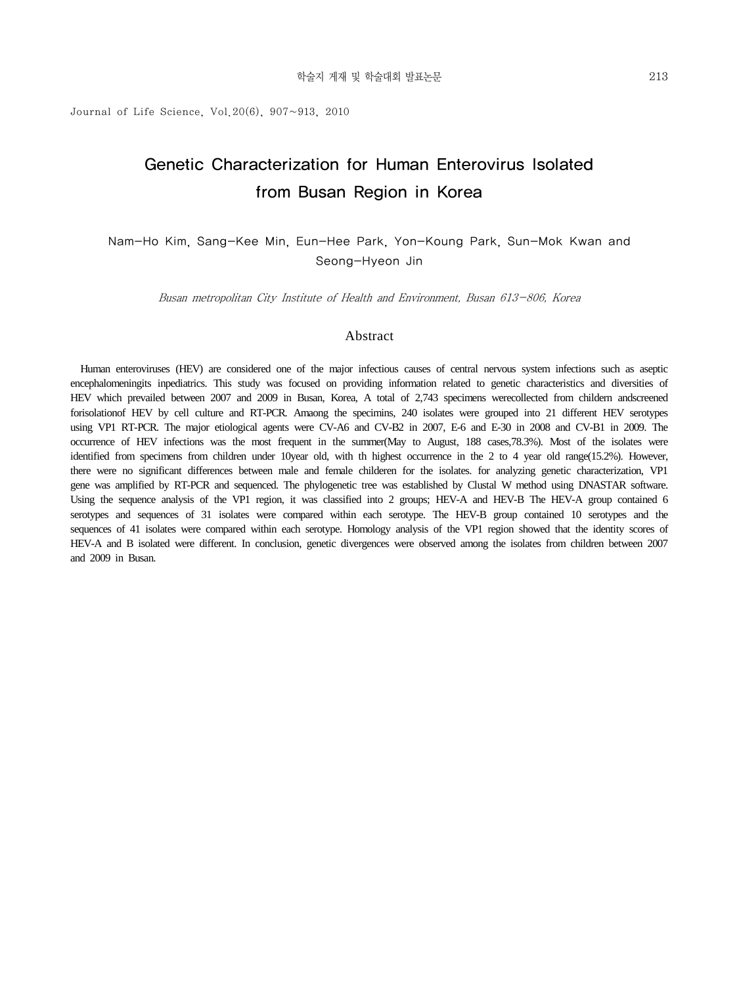Journal of Life Science, Vol.  $20(6)$ ,  $907~913$ ,  $2010$ 

## Genetic Characterization for Human Enterovirus Isolated from Busan Region in Korea

Nam-Ho Kim, Sang-Kee Min, Eun-Hee Park, Yon-Koung Park, Sun-Mok Kwan and Seong-Hyeon Jin

Busan metropolitan City Institute of Health and Environment, Busan 613-806, Korea

### Abstract

 Human enteroviruses (HEV) are considered one of the major infectious causes of central nervous system infections such as aseptic encephalomeningits inpediatrics. This study was focused on providing information related to genetic characteristics and diversities of HEV which prevailed between 2007 and 2009 in Busan, Korea, A total of 2,743 specimens werecollected from childern andscreened forisolationof HEV by cell culture and RT-PCR. Amaong the specimins, 240 isolates were grouped into 21 different HEV serotypes using VP1 RT-PCR. The major etiological agents were CV-A6 and CV-B2 in 2007, E-6 and E-30 in 2008 and CV-B1 in 2009. The occurrence of HEV infections was the most frequent in the summer(May to August, 188 cases,78.3%). Most of the isolates were identified from specimens from children under 10year old, with th highest occurrence in the 2 to 4 year old range(15.2%). However, there were no significant differences between male and female childeren for the isolates. for analyzing genetic characterization, VP1 gene was amplified by RT-PCR and sequenced. The phylogenetic tree was established by Clustal W method using DNASTAR software. Using the sequence analysis of the VP1 region, it was classified into 2 groups; HEV-A and HEV-B The HEV-A group contained 6 serotypes and sequences of 31 isolates were compared within each serotype. The HEV-B group contained 10 serotypes and the sequences of 41 isolates were compared within each serotype. Homology analysis of the VP1 region showed that the identity scores of HEV-A and B isolated were different. In conclusion, genetic divergences were observed among the isolates from children between 2007 and 2009 in Busan.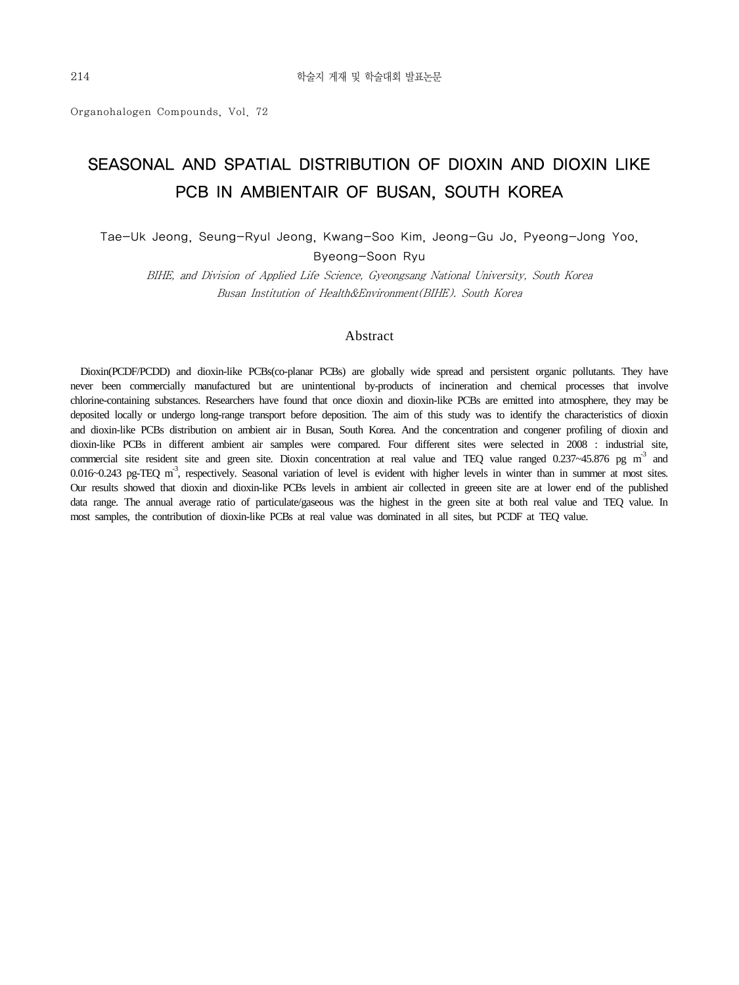Organohalogen Compounds, Vol. 72

## SEASONAL AND SPATIAL DISTRIBUTION OF DIOXIN AND DIOXIN LIKE PCB IN AMBIENTAIR OF BUSAN, SOUTH KOREA

Tae-Uk Jeong, Seung-Ryul Jeong, Kwang-Soo Kim, Jeong-Gu Jo, Pyeong-Jong Yoo,

Byeong-Soon Ryu

BIHE, and Division of Applied Life Science, Gyeongsang National University, South Korea Busan Institution of Health&Environment(BIHE). South Korea

### Abstract

 Dioxin(PCDF/PCDD) and dioxin-like PCBs(co-planar PCBs) are globally wide spread and persistent organic pollutants. They have never been commercially manufactured but are unintentional by-products of incineration and chemical processes that involve chlorine-containing substances. Researchers have found that once dioxin and dioxin-like PCBs are emitted into atmosphere, they may be deposited locally or undergo long-range transport before deposition. The aim of this study was to identify the characteristics of dioxin and dioxin-like PCBs distribution on ambient air in Busan, South Korea. And the concentration and congener profiling of dioxin and dioxin-like PCBs in different ambient air samples were compared. Four different sites were selected in 2008 : industrial site, commercial site resident site and green site. Dioxin concentration at real value and TEQ value ranged  $0.237~45.876$  pg m<sup>-3</sup> and 0.016~0.243 pg-TEQ m<sup>-3</sup>, respectively. Seasonal variation of level is evident with higher levels in winter than in summer at most sites. Our results showed that dioxin and dioxin-like PCBs levels in ambient air collected in greeen site are at lower end of the published data range. The annual average ratio of particulate/gaseous was the highest in the green site at both real value and TEQ value. In most samples, the contribution of dioxin-like PCBs at real value was dominated in all sites, but PCDF at TEQ value.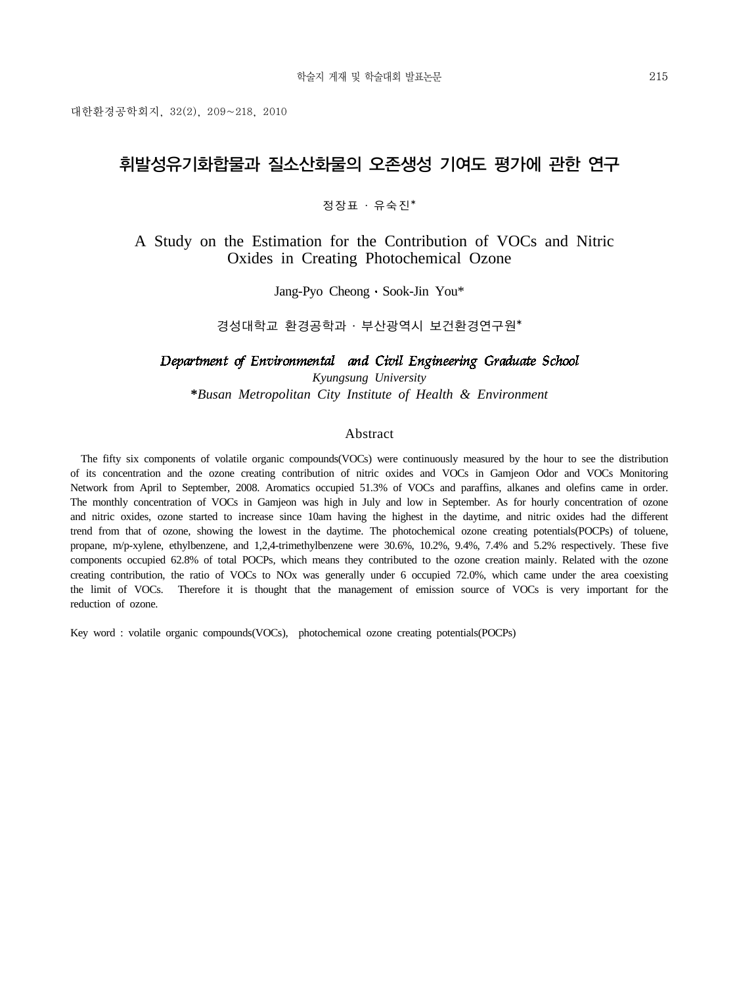대한환경공학회지, 32(2), 209~218, 2010

## 휘발성유기화합물과 질소산화물의 오존생성 기여도 평가에 관한 연구

정장표 ․ 유숙진\*

A Study on the Estimation for the Contribution of VOCs and Nitric Oxides in Creating Photochemical Ozone

Jang-Pyo Cheong Sook-Jin You\*

경성대학교 환경공학과 ․ 부산광역시 보건환경연구원\*

### Department of Environmental and Civil Engineering Graduate School

*Kyungsung University* **\****Busan Metropolitan City Institute of Health & Environment*

### Abstract

 The fifty six components of volatile organic compounds(VOCs) were continuously measured by the hour to see the distribution of its concentration and the ozone creating contribution of nitric oxides and VOCs in Gamjeon Odor and VOCs Monitoring Network from April to September, 2008. Aromatics occupied 51.3% of VOCs and paraffins, alkanes and olefins came in order. The monthly concentration of VOCs in Gamjeon was high in July and low in September. As for hourly concentration of ozone and nitric oxides, ozone started to increase since 10am having the highest in the daytime, and nitric oxides had the different trend from that of ozone, showing the lowest in the daytime. The photochemical ozone creating potentials(POCPs) of toluene, propane, m/p-xylene, ethylbenzene, and 1,2,4-trimethylbenzene were 30.6%, 10.2%, 9.4%, 7.4% and 5.2% respectively. These five components occupied 62.8% of total POCPs, which means they contributed to the ozone creation mainly. Related with the ozone creating contribution, the ratio of VOCs to NOx was generally under 6 occupied 72.0%, which came under the area coexisting the limit of VOCs. Therefore it is thought that the management of emission source of VOCs is very important for the reduction of ozone.

Key word : volatile organic compounds(VOCs), photochemical ozone creating potentials(POCPs)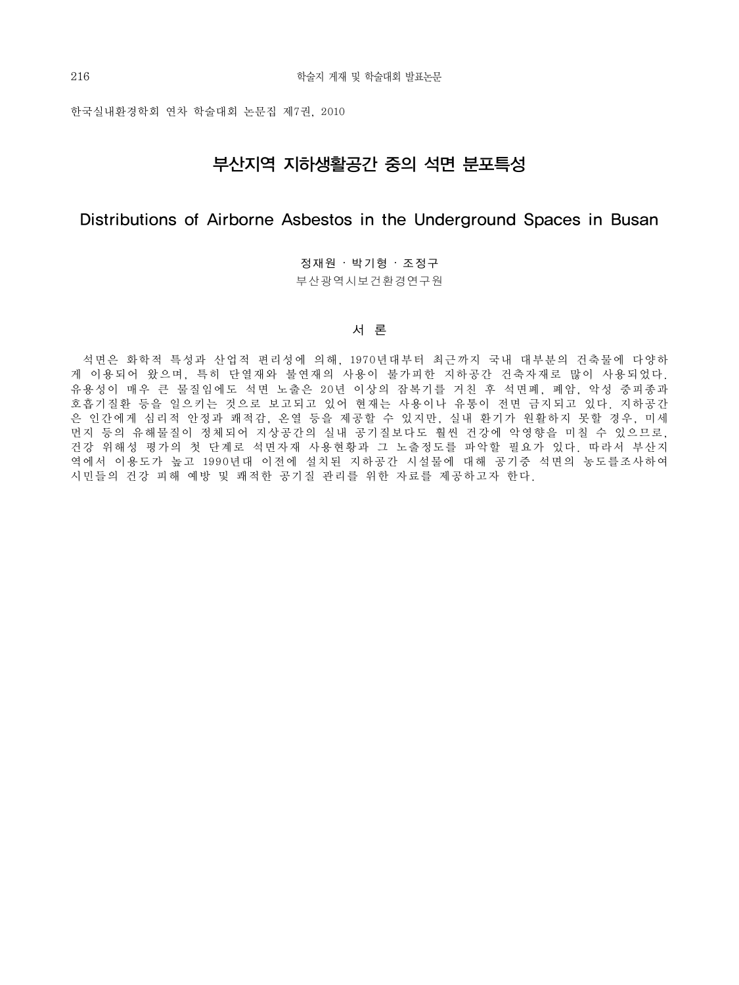한국실내환경학회 연차 학술대회 논문집 제7권, 2010

## 부산지역 지하생활공간 중의 석면 분포특성

### Distributions of Airborne Asbestos in the Underground Spaces in Busan

정재원 ‧ 박기형 ‧ 조정구 부산광역시보건환경연구원

### 서 론

 석면은 화학적 특성과 산업적 편리성에 의해, 1970년대부터 최근까지 국내 대부분의 건축물에 다양하 게 이용되어 왔으며, 특히 단열재와 불연재의 사용이 불가피한 지하공간 건축자재로 많이 사용되었다. 유용성이 매우 큰 물질임에도 석면 노출은 20년 이상의 잠복기를 거친 후 석면폐, 폐암, 악성 중피종과 호흡기질환 등을 일으키는 것으로 보고되고 있어 현재는 사용이나 유통이 전면 금지되고 있다. 지하공간 은 인간에게 심리적 안정과 쾌적감, 온열 등을 제공할 수 있지만, 실내 환기가 원활하지 못할 경우, 미세 먼지 등의 유해물질이 정체되어 지상공간의 실내 공기질보다도 훨씬 건강에 악영향을 미칠 수 있으므로 , 건강 위해성 평가의 첫 단계로 석면자재 사용현황과 그 노출정도를 파악할 필요가 있다. 따라서 부산지 역에서 이용도가 높고 1990년대 이전에 설치된 지하공간 시설물에 대해 공기중 석면의 농도를조사하여 시민들의 건강 피해 예방 및 쾌적한 공기질 관리를 위한 자료를 제공하고자 한다.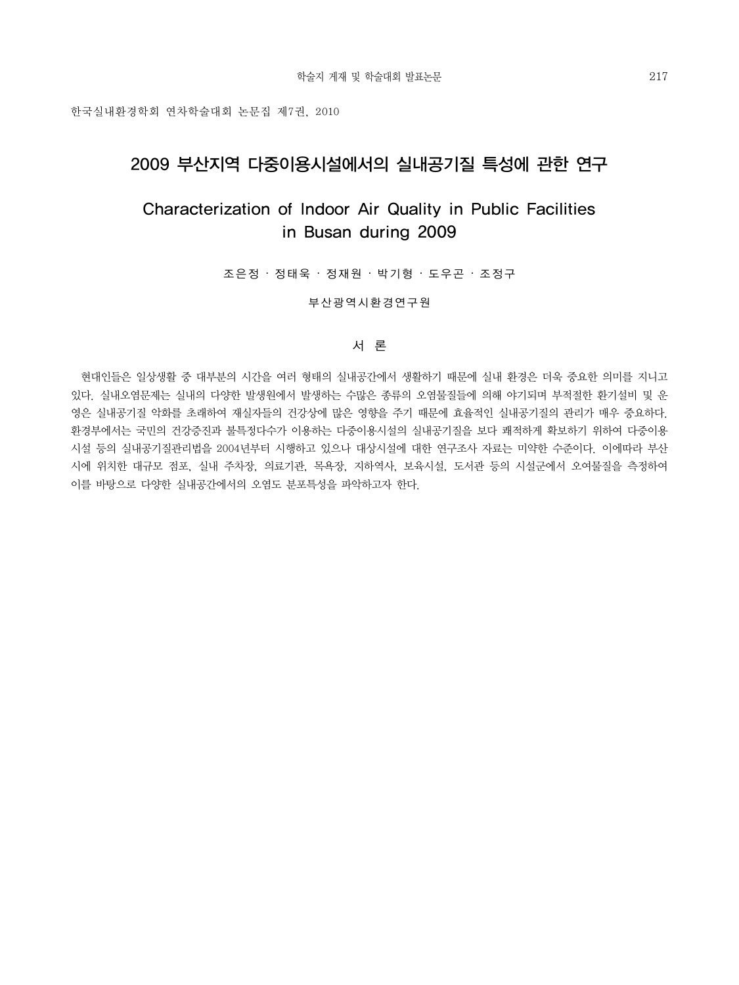한국실내환경학회 연차학술대회 논문집 제7권, 2010

## 2009 부산지역 다중이용시설에서의 실내공기질 특성에 관한 연구

## Characterization of Indoor Air Quality in Public Facilities in Busan during 2009

조은정 ‧ 정태욱 ‧ 정재원 ‧ 박기형 ‧ 도우곤 ‧ 조정구

부산광역시환경연구원

### 서 론

 현대인들은 일상생활 중 대부분의 시간을 여러 형태의 실내공간에서 생활하기 때문에 실내 환경은 더욱 중요한 의미를 지니고 있다. 실내오염문제는 실내의 다양한 발생원에서 발생하는 수많은 종류의 오염물질들에 의해 야기되며 부적절한 환기설비 및 운 영은 실내공기질 악화를 초래하여 재실자들의 건강상에 많은 영향을 주기 때문에 효율적인 실내공기질의 관리가 매우 중요하다. 환경부에서는 국민의 건강증진과 불특정다수가 이용하는 다중이용시설의 실내공기질을 보다 쾌적하게 확보하기 위하여 다중이용 시설 등의 실내공기질관리법을 2004년부터 시행하고 있으나 대상시설에 대한 연구조사 자료는 미약한 수준이다. 이에따라 부산 시에 위치한 대규모 점포, 실내 주차장, 의료기관, 목욕장, 지하역사, 보육시설, 도서관 등의 시설군에서 오여물질을 측정하여 이를 바탕으로 다양한 실내공간에서의 오염도 분포특성을 파악하고자 한다.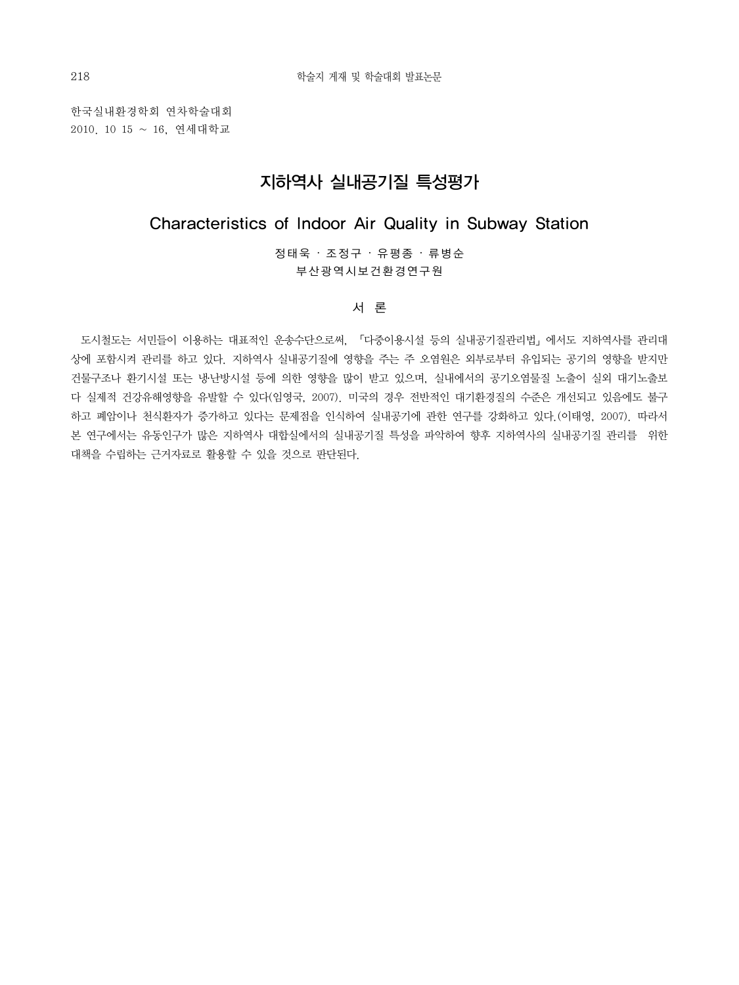한국실내환경학회 연차학술대회 2010. 10 15 ~ 16, 연세대학교

### 지하역사 실내공기질 특성평가

### Characteristics of Indoor Air Quality in Subway Station

정태욱 ‧ 조정구 ‧ 유평종 ‧ 류병순 부산광역시보건환경연구원

서 론

 도시철도는 서민들이 이용하는 대표적인 운송수단으로써, 「다중이용시설 등의 실내공기질관리법」에서도 지하역사를 관리대 상에 포함시켜 관리를 하고 있다. 지하역사 실내공기질에 영향을 주는 주 오염원은 외부로부터 유입되는 공기의 영향을 받지만 건물구조나 환기시설 또는 냉․난방시설 등에 의한 영향을 많이 받고 있으며, 실내에서의 공기오염물질 노출이 실외 대기노출보 다 실제적 건강유해영향을 유발할 수 있다(임영국, 2007). 미국의 경우 전반적인 대기환경질의 수준은 개선되고 있음에도 불구 하고 폐암이나 천식환자가 증가하고 있다는 문제점을 인식하여 실내공기에 관한 연구를 강화하고 있다.(이태영, 2007). 따라서 본 연구에서는 유동인구가 많은 지하역사 대합실에서의 실내공기질 특성을 파악하여 향후 지하역사의 실내공기질 관리를 위한 대책을 수립하는 근거자료로 활용할 수 있을 것으로 판단된다.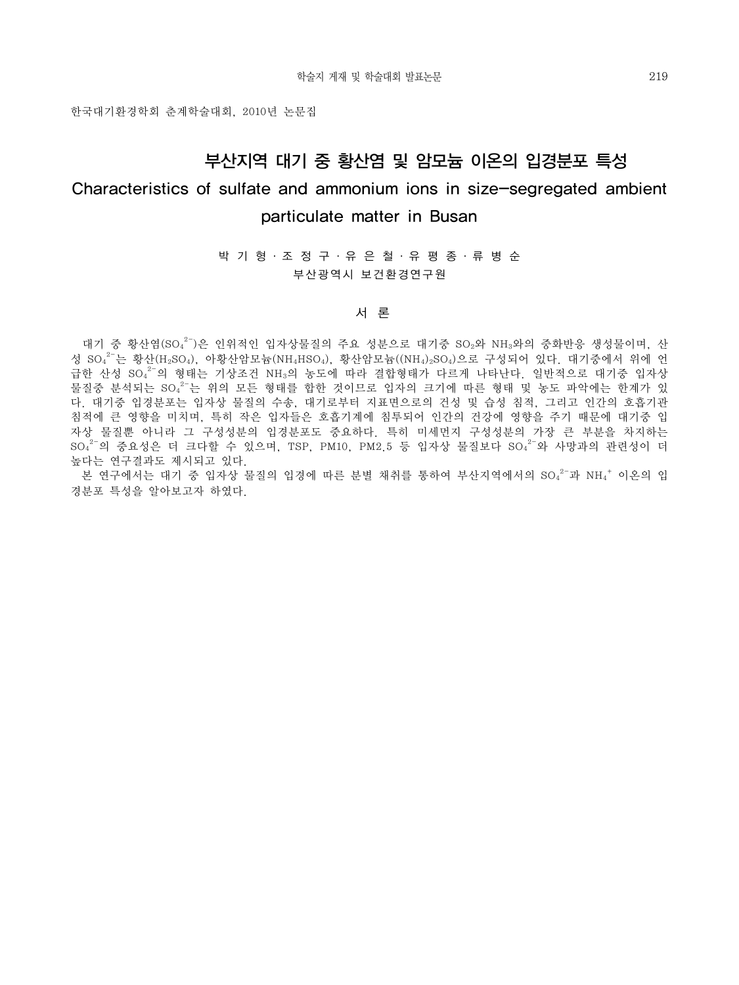한국대기환경학회 춘계학술대회, 2010년 논문집

## 부산지역 대기 중 황산염 및 암모늄 이온의 입경분포 특성

## Characteristics of sulfate and ammonium ions in size-segregated ambient particulate matter in Busan

박 기 형 ․ 조 정 구 ․ 유 은 철 ․ 유 평 종 ․ 류 병 순 부산광역시 보건환경연구원

#### 서 론

대기 중 황산염(SO42-)은 인위적인 입자상물질의 주요 성분으로 대기중 SO2와 NH3와의 중화반응 생성물이며, 산 성 SO42-는 황산(H2SO4), 아황산암모늄(NH4HSO4), 황산암모늄((NH4)2SO4)으로 구성되어 있다. 대기중에서 위에 언 급한 산성 SO<sub>4</sub><sup>2-</sup>의 형태는 기상조건 NH<sub>3</sub>의 농도에 따라 결합형태가 다르게 나타난다. 일반적으로 대기중 입자상 물질중 분석되는 SO4<sup>2-</sup>는 위의 모든 형태를 합한 것이므로 입자의 크기에 따른 형태 및 농도 파악에는 한계가 있 다. 대기중 입경분포는 입자상 물질의 수송, 대기로부터 지표면으로의 건성 및 습성 침적, 그리고 인간의 호흡기관 침적에 큰 영향을 미치며, 특히 작은 입자들은 호흡기계에 침투되어 인간의 건강에 영향을 주기 때문에 대기중 입 자상 물질뿐 아니라 그 구성성분의 입경분포도 중요하다. 특히 미세먼지 구성성분의 가장 큰 부분을 차지하는  ${\rm SO_4}^{2-}$ 의 중요성은 더 크다할 수 있으며, TSP, PM10, PM2.5 등 입자상 물질보다 SO $_4^{2-}$ 와 사망과의 관련성이 더 높다는 연구결과도 제시되고 있다.

본 연구에서는 대기 중 입자상 물질의 입경에 따른 분별 채취를 통하여 부산지역에서의 SO42-과 NH4<sup>+</sup> 이온의 입 경분포 특성을 알아보고자 하였다.